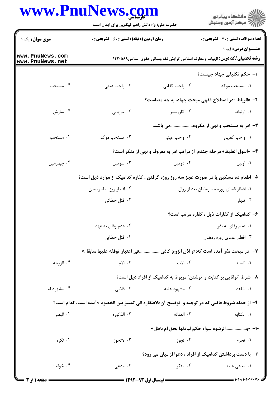## www.PnuNews.com

ر .<br>اللاه دانشگاه پیام نور<br>۱۱۸ هرکز آزمون وسنجش حضرت علی(ع): دانش راهبر نیکویی برای ایمان است **تعداد سوالات : تستی : 30 ٪ تشریحی : 0** سری سوال: یک ۱ **زمان آزمون (دقیقه) : تستی : 60 گشریحی : 0** عنــوان درس: فقه ۱ www.PnuNews.com **رشته تحصیلی/کد درس: ا**لهیات و معارف اسلامی گرایش فقه ومبانی حقوق اسلامی1۲۲۰۵۶۹ www.PnuNews.net ۱– حکم تکلیفی جهاد چیست؟ ۰۴ مستحب ۰۳ واجب عيني ۰۲ واجب کفایی ۰۱ مستحب موکد ۲– «الرباط »در اصطلاح فقهي مبحث جهاد، به چه معناست؟ ۰۴ سازش ۰۳ مرزبانی ۰۲ کاروانسرا ۰۱ ا<sub>ر</sub>تباط ۳- امر به مستحب و نهی از مکروه........................ باشد. ۰۴ مستحب ۰۳ مستحب موکد ۰۲ واجب عینی ۰۱ واجب کفایی ۴- «القول الغليظ» مرحله چندم از مراتب امر به معروف و نهى از منكر است؟ ۰۴ چهارمین ۰۳ سومین ۰۲ دومین ۰۱ اولین ۵– اطعام ده مسکین یا در صورت عجز سه روز روزه گرفتن ، کفاره کدامیک از موارد ذیل است؟ ۰۲ افطار روزه ماه رمضان ۰۱ افطار قضای روزه ماه رمضان بعد از زوال ۰۳ ظهار ۰۴ قتل خطائی ۶- کدامیک از کفارات ذیل ، کفاره مرتب است؟ ۰۱ عدم وفای به نذر ۰۲ عدم وفای به عهد ۰۴ قتل خطایی ۰۳ افطار عمدی روزه رمضان ٧– در مبحث نذر آمده است كه:«و اذن الزوج كاذن ………………في اعتبار توقفه عليها سابقا .» ۰۴ الزوجه ۰۳ الام ۲. الاب ٠١ السيد ۸– شرط ″توانایی بر کتابت و نوشتن″ مربوط به کدامیک از افراد ذیل است؟ ٠١. شاهد ۰۴ مشهود له ۰۳ قاضے ِ ۰۲ مشهود علیه ۹- از جمله شروط قاضی که در توجیه و توضیح آن«لافتقاره الی تمییز بین الخصوم »آمده است، کدام است؟ ۰۳ الذکوره ٢. العداله ۰۱ الکتابه ۰۴ البصر ∙ا− «و.................الرشوه سواء حكم لباذلها بحق ام باطل» ۰۴ تکړه ۰۳ لاتجوز ۰۲ تجوز ۰۱ تحرم 1۱– با دست برداشتن کدامیک از افراد ، دعوا از میان می رود؟ ۰۳ مدعی ۰۴ خوانده ۰۲ منکر ۰۱ مدعی علیه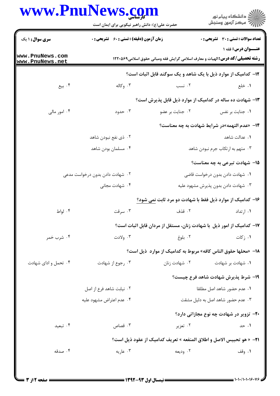## **WWW PnuNews com**

|                                                   | حضرت علی(ع): دانش راهبر نیکویی برای ایمان است      |                                     | ر<br>دانشڪاه پيام نور)<br>ا∛ مرڪز آزمون وسنڊش                                                                     |  |  |
|---------------------------------------------------|----------------------------------------------------|-------------------------------------|-------------------------------------------------------------------------------------------------------------------|--|--|
| <b>سری سوال : ۱ یک</b>                            | <b>زمان آزمون (دقیقه) : تستی : 60 ٪ تشریحی : 0</b> |                                     | تعداد سوالات : تستي : 30 - تشريحي : 0                                                                             |  |  |
| ww.PnuNews.com<br>ww.PnuNews.net                  |                                                    |                                     | <b>عنــوان درس: فقه ۱</b><br><b>رشته تحصیلی/کد درس:</b> الهیات و معارف اسلامی گرایش فقه ومبانی حقوق اسلامی1۲۲۰۵۶۹ |  |  |
|                                                   |                                                    |                                     | <b>۱۲</b> - کدامیک از موارد ذیل با یک شاهد و یک سوگند قابل اثبات است؟                                             |  |  |
| ۰۴ بیع                                            | ۰۳ وکاله                                           | ۰۲ نسب                              | ۰۱ خلع                                                                                                            |  |  |
|                                                   |                                                    |                                     | ۱۳- شهادت ده ساله در کدامیک از موارد ذیل قابل پذیرش است؟                                                          |  |  |
| ۰۴ امور مالی                                      | ۰۳ حدود                                            | ٠٢ جنايت بر عضو                     | ۰۱ جنایت بر نفس                                                                                                   |  |  |
|                                                   | ۱۴- «عدم التهمه»در شرایط شهادت به چه معناست؟       |                                     |                                                                                                                   |  |  |
|                                                   | ۰۲ ذي نفع نبودن شاهد                               |                                     | ٠١ عدالت شاهد                                                                                                     |  |  |
|                                                   | ۰۴ مسلمان بودن شاهد                                | ۰۳ متهم به ارتکاب جرم نبودن شاهد    |                                                                                                                   |  |  |
|                                                   |                                                    |                                     | <b>۱۵</b> - شهادت تبرعی به چه معناست؟                                                                             |  |  |
| ۰۲ شهادت دادن بدون درخواست مدعی<br>۰۴ شهادت مجانی |                                                    | ۰۱ شهادت دادن بدون درخواست قاضی     |                                                                                                                   |  |  |
|                                                   |                                                    | ۰۳ شهادت دادن بدون پذیرش مشهود علیه |                                                                                                                   |  |  |
|                                                   |                                                    |                                     | ۱۶- کدامیک از موارد ذیل فقط با شهادت دو مرد ثابت <u>نمی</u> شود؟                                                  |  |  |
| ۰۴ لواط                                           | ۰۳ سرقت                                            |                                     | ۰۱ ارتداد می کند که ترونی در این کار از این کار است که استفاده به این کار استفاده است که است که استفاده استفاد    |  |  |
|                                                   |                                                    |                                     | ۱۷– کدامیک از امور ذیل ًبا شهادت زنان، مستقل از مردان قابل اثبات است؟                                             |  |  |
| ۰۴ شرب خمر                                        | ۰۳ ولادت                                           | ۰۲ بلوغ                             | ۰۱ ز کات                                                                                                          |  |  |
|                                                   |                                                    |                                     | 18– «محلها حقوق الناس كافه» مربوط به كداميك از موارد  ذيل است؟                                                    |  |  |
| ۰۴ تحمل و ادای شهادت                              | ۰۳ رجوع از شهادت                                   | ۰۲ شهادت زنان                       | ۰۱ شهادت بر شهادت                                                                                                 |  |  |
|                                                   |                                                    |                                     | ۱۹- شرط پذیرش شهادت شاهد فرع چیست؟                                                                                |  |  |
|                                                   | ٢. نيابت شاهد فرع از اصل                           |                                     | ٠١ عدم حضور شاهد اصل مطلقا                                                                                        |  |  |
|                                                   | ۰۴ عدم اعتراض مشهود عليه                           | ۰۳ عدم حضور شاهد اصل به دلیل مشقت   |                                                                                                                   |  |  |
|                                                   |                                                    |                                     | <b>۲۰-</b> تزویر در شهادت چه نوع مجازاتی دارد؟                                                                    |  |  |
| ۰۴ تبعید                                          | ۰۳ قصاص                                            | ۰۲ تعزیر                            | ۰۱ حد                                                                                                             |  |  |
|                                                   |                                                    |                                     | 21- « هو تحبيس الاصل و اطلاق المنفعه » تعريف كداميك از عقود ذيل است؟                                              |  |  |
| ۰۴ صدقه                                           | ۰۳ عاریه                                           | ۰۲ ودیعه                            | ۰۱ وقف                                                                                                            |  |  |